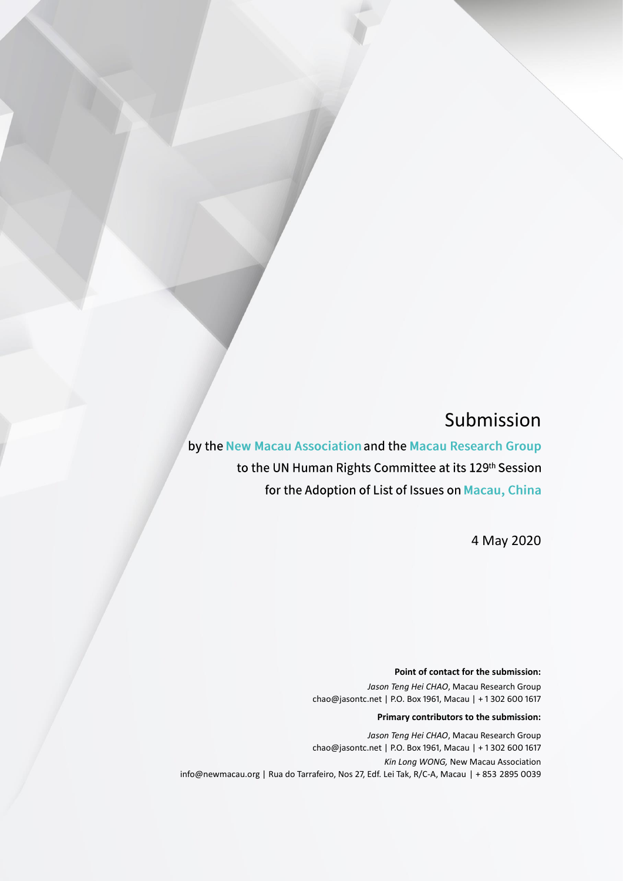# Submission

by the New Macau Association and the Macau Research Group to the UN Human Rights Committee at its 129th Session for the Adoption of List of Issues on Macau, China

4 May 2020

#### **Point of contact for the submission:**

*Jason Teng Hei CHAO*, Macau Research Group chao@jasontc.net | P.O. Box 1961, Macau | + 1 302 600 1617

#### **Primary contributors to the submission:**

*Jason Teng Hei CHAO*, Macau Research Group chao@jasontc.net | P.O. Box 1961, Macau | + 1 302 600 1617 *Kin Long WONG,* New Macau Association info@newmacau.org | Rua do Tarrafeiro, Nos 27, Edf. Lei Tak, R/C-A, Macau | + 853 2895 0039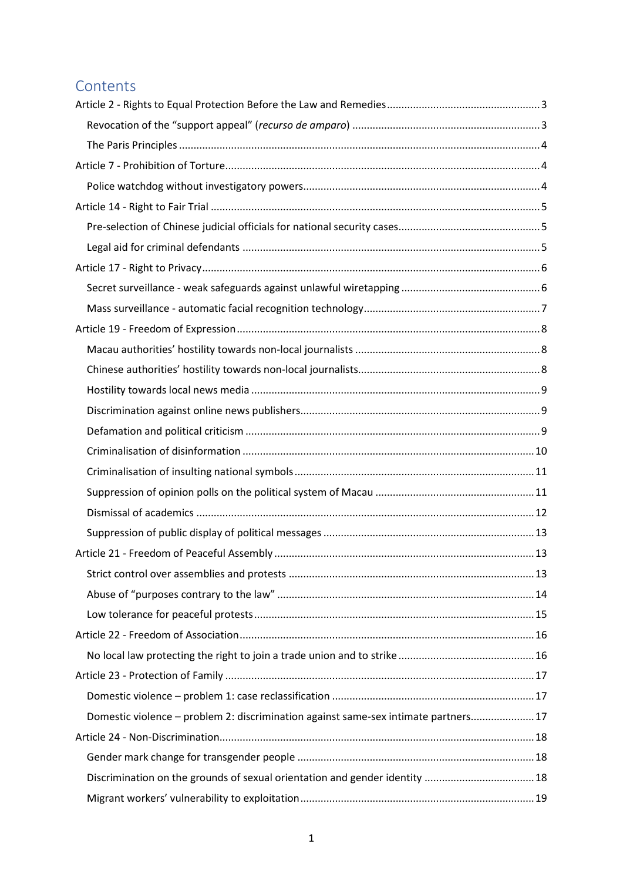### **Contents**

| Domestic violence - problem 2: discrimination against same-sex intimate partners 17 |  |
|-------------------------------------------------------------------------------------|--|
|                                                                                     |  |
|                                                                                     |  |
| Discrimination on the grounds of sexual orientation and gender identity  18         |  |
|                                                                                     |  |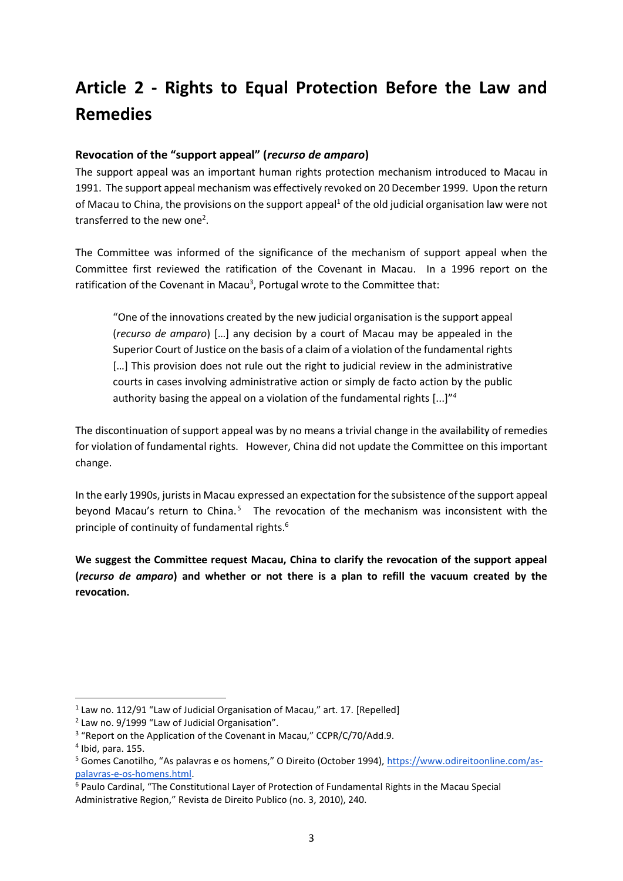# <span id="page-3-0"></span>**Article 2 - Rights to Equal Protection Before the Law and Remedies**

### <span id="page-3-1"></span>**Revocation of the "support appeal" (***recurso de amparo***)**

The support appeal was an important human rights protection mechanism introduced to Macau in 1991. The support appeal mechanism was effectively revoked on 20 December 1999. Upon the return of Macau to China, the provisions on the support appeal<sup>1</sup> of the old judicial organisation law were not transferred to the new one<sup>2</sup>.

The Committee was informed of the significance of the mechanism of support appeal when the Committee first reviewed the ratification of the Covenant in Macau. In a 1996 report on the ratification of the Covenant in Macau<sup>3</sup>, Portugal wrote to the Committee that:

"One of the innovations created by the new judicial organisation is the support appeal (*recurso de amparo*) […] any decision by a court of Macau may be appealed in the Superior Court of Justice on the basis of a claim of a violation of the fundamental rights [...] This provision does not rule out the right to judicial review in the administrative courts in cases involving administrative action or simply de facto action by the public authority basing the appeal on a violation of the fundamental rights [...]" *4*

The discontinuation of support appeal was by no means a trivial change in the availability of remedies for violation of fundamental rights. However, China did not update the Committee on this important change.

In the early 1990s, jurists in Macau expressed an expectation for the subsistence of the support appeal beyond Macau's return to China.<sup>5</sup> The revocation of the mechanism was inconsistent with the principle of continuity of fundamental rights.<sup>6</sup>

**We suggest the Committee request Macau, China to clarify the revocation of the support appeal (***recurso de amparo***) and whether or not there is a plan to refill the vacuum created by the revocation.** 

 $1$  Law no. 112/91 "Law of Judicial Organisation of Macau," art. 17. [Repelled]

<sup>&</sup>lt;sup>2</sup> Law no. 9/1999 "Law of Judicial Organisation".

<sup>&</sup>lt;sup>3</sup> "Report on the Application of the Covenant in Macau," CCPR/C/70/Add.9.

<sup>4</sup> Ibid, para. 155.

<sup>5</sup> Gomes Canotilho, "As palavras e os homens," O Direito (October 1994), [https://www.odireitoonline.com/as](https://www.odireitoonline.com/as-palavras-e-os-homens.html)[palavras-e-os-homens.html.](https://www.odireitoonline.com/as-palavras-e-os-homens.html)

<sup>6</sup> Paulo Cardinal, "The Constitutional Layer of Protection of Fundamental Rights in the Macau Special Administrative Region," Revista de Direito Publico (no. 3, 2010), 240.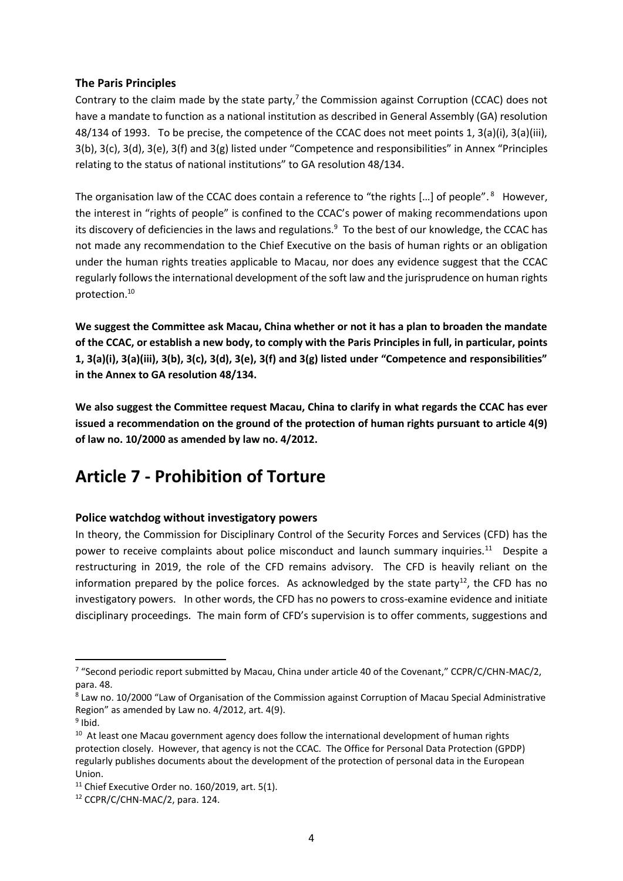### <span id="page-4-0"></span>**The Paris Principles**

Contrary to the claim made by the state party, $7$  the Commission against Corruption (CCAC) does not have a mandate to function as a national institution as described in General Assembly (GA) resolution 48/134 of 1993. To be precise, the competence of the CCAC does not meet points 1, 3(a)(i), 3(a)(iii), 3(b), 3(c), 3(d), 3(e), 3(f) and 3(g) listed under "Competence and responsibilities" in Annex "Principles relating to the status of national institutions" to GA resolution 48/134.

The organisation law of the CCAC does contain a reference to "the rights [...] of people".<sup>8</sup> However, the interest in "rights of people" is confined to the CCAC's power of making recommendations upon its discovery of deficiencies in the laws and regulations.<sup>9</sup> To the best of our knowledge, the CCAC has not made any recommendation to the Chief Executive on the basis of human rights or an obligation under the human rights treaties applicable to Macau, nor does any evidence suggest that the CCAC regularly follows the international development of the soft law and the jurisprudence on human rights protection.<sup>10</sup>

**We suggest the Committee ask Macau, China whether or not it has a plan to broaden the mandate of the CCAC, or establish a new body, to comply with the Paris Principles in full, in particular, points 1, 3(a)(i), 3(a)(iii), 3(b), 3(c), 3(d), 3(e), 3(f) and 3(g) listed under "Competence and responsibilities" in the Annex to GA resolution 48/134.**

**We also suggest the Committee request Macau, China to clarify in what regards the CCAC has ever issued a recommendation on the ground of the protection of human rights pursuant to article 4(9) of law no. 10/2000 as amended by law no. 4/2012.** 

### <span id="page-4-1"></span>**Article 7 - Prohibition of Torture**

### <span id="page-4-2"></span>**Police watchdog without investigatory powers**

In theory, the Commission for Disciplinary Control of the Security Forces and Services (CFD) has the power to receive complaints about police misconduct and launch summary inquiries.<sup>11</sup> Despite a restructuring in 2019, the role of the CFD remains advisory. The CFD is heavily reliant on the information prepared by the police forces. As acknowledged by the state party<sup>12</sup>, the CFD has no investigatory powers. In other words, the CFD has no powers to cross-examine evidence and initiate disciplinary proceedings. The main form of CFD's supervision is to offer comments, suggestions and

<sup>&</sup>lt;sup>7</sup> "Second periodic report submitted by Macau, China under article 40 of the Covenant," CCPR/C/CHN-MAC/2, para. 48.

<sup>&</sup>lt;sup>8</sup> Law no. 10/2000 "Law of Organisation of the Commission against Corruption of Macau Special Administrative Region" as amended by Law no. 4/2012, art. 4(9).

<sup>&</sup>lt;sup>9</sup> Ibid.

<sup>&</sup>lt;sup>10</sup> At least one Macau government agency does follow the international development of human rights protection closely. However, that agency is not the CCAC. The Office for Personal Data Protection (GPDP) regularly publishes documents about the development of the protection of personal data in the European Union.

 $11$  Chief Executive Order no. 160/2019, art. 5(1).

<sup>12</sup> CCPR/C/CHN-MAC/2, para. 124.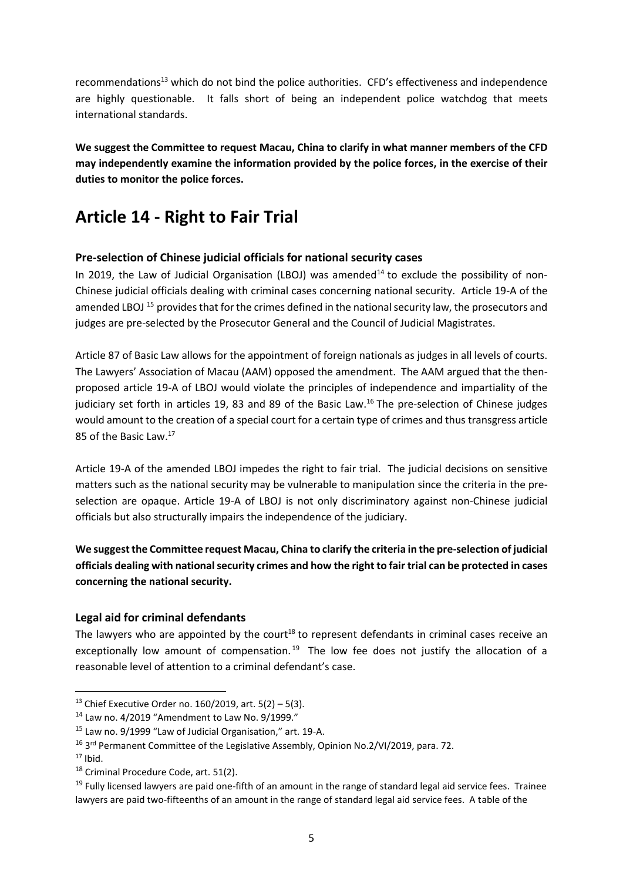recommendations<sup>13</sup> which do not bind the police authorities. CFD's effectiveness and independence are highly questionable. It falls short of being an independent police watchdog that meets international standards.

**We suggest the Committee to request Macau, China to clarify in what manner members of the CFD may independently examine the information provided by the police forces, in the exercise of their duties to monitor the police forces.** 

# <span id="page-5-0"></span>**Article 14 - Right to Fair Trial**

### <span id="page-5-1"></span>**Pre-selection of Chinese judicial officials for national security cases**

In 2019, the Law of Judicial Organisation (LBOJ) was amended<sup>14</sup> to exclude the possibility of non-Chinese judicial officials dealing with criminal cases concerning national security. Article 19-A of the amended LBOJ <sup>15</sup> provides that for the crimes defined in the national security law, the prosecutors and judges are pre-selected by the Prosecutor General and the Council of Judicial Magistrates.

Article 87 of Basic Law allows for the appointment of foreign nationals as judges in all levels of courts. The Lawyers' Association of Macau (AAM) opposed the amendment. The AAM argued that the thenproposed article 19-A of LBOJ would violate the principles of independence and impartiality of the judiciary set forth in articles 19, 83 and 89 of the Basic Law.<sup>16</sup> The pre-selection of Chinese judges would amount to the creation of a special court for a certain type of crimes and thus transgress article 85 of the Basic Law.<sup>17</sup>

Article 19-A of the amended LBOJ impedes the right to fair trial. The judicial decisions on sensitive matters such as the national security may be vulnerable to manipulation since the criteria in the preselection are opaque. Article 19-A of LBOJ is not only discriminatory against non-Chinese judicial officials but also structurally impairs the independence of the judiciary.

**We suggest the Committee request Macau, China to clarify the criteria in the pre-selection of judicial officials dealing with national security crimes and how the right to fair trial can be protected in cases concerning the national security.**

### <span id="page-5-2"></span>**Legal aid for criminal defendants**

The lawyers who are appointed by the court<sup>18</sup> to represent defendants in criminal cases receive an exceptionally low amount of compensation.<sup>19</sup> The low fee does not justify the allocation of a reasonable level of attention to a criminal defendant's case.

<sup>&</sup>lt;sup>13</sup> Chief Executive Order no. 160/2019, art.  $5(2) - 5(3)$ .

<sup>14</sup> Law no. 4/2019 "Amendment to Law No. 9/1999."

 $15$  Law no. 9/1999 "Law of Judicial Organisation," art. 19-A.

<sup>&</sup>lt;sup>16</sup> 3<sup>rd</sup> Permanent Committee of the Legislative Assembly, Opinion No.2/VI/2019, para. 72.

 $17$  Ibid.

<sup>&</sup>lt;sup>18</sup> Criminal Procedure Code, art. 51(2).

<sup>&</sup>lt;sup>19</sup> Fully licensed lawyers are paid one-fifth of an amount in the range of standard legal aid service fees. Trainee lawyers are paid two-fifteenths of an amount in the range of standard legal aid service fees. A table of the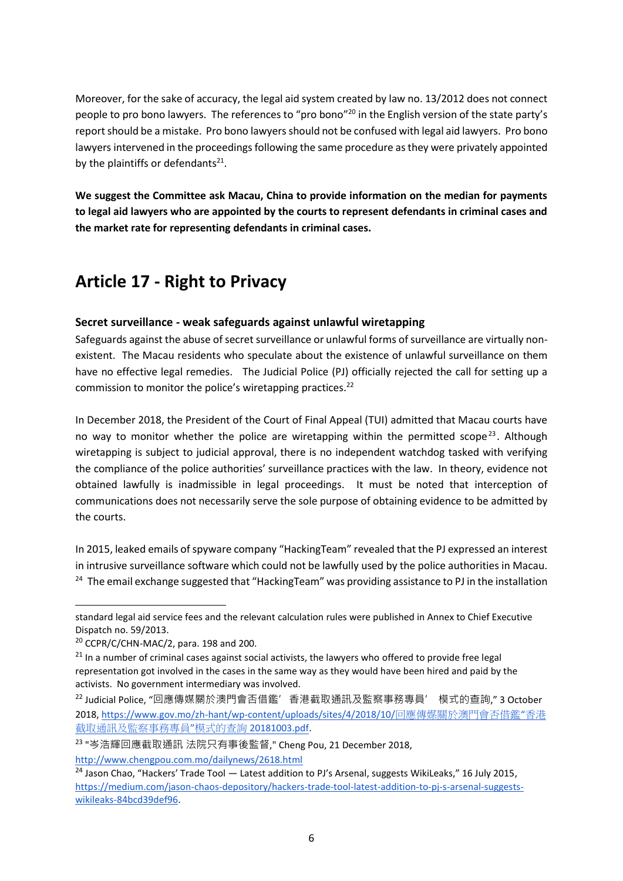Moreover, for the sake of accuracy, the legal aid system created by law no. 13/2012 does not connect people to pro bono lawyers. The references to "pro bono"<sup>20</sup> in the English version of the state party's report should be a mistake. Pro bono lawyers should not be confused with legal aid lawyers. Pro bono lawyers intervened in the proceedings following the same procedure as they were privately appointed by the plaintiffs or defendants $^{21}$ .

**We suggest the Committee ask Macau, China to provide information on the median for payments to legal aid lawyers who are appointed by the courts to represent defendants in criminal cases and the market rate for representing defendants in criminal cases.**

# <span id="page-6-0"></span>**Article 17 - Right to Privacy**

### <span id="page-6-1"></span>**Secret surveillance - weak safeguards against unlawful wiretapping**

Safeguards against the abuse of secret surveillance or unlawful forms of surveillance are virtually nonexistent. The Macau residents who speculate about the existence of unlawful surveillance on them have no effective legal remedies. The Judicial Police (PJ) officially rejected the call for setting up a commission to monitor the police's wiretapping practices.<sup>22</sup>

In December 2018, the President of the Court of Final Appeal (TUI) admitted that Macau courts have no way to monitor whether the police are wiretapping within the permitted scope<sup>23</sup>. Although wiretapping is subject to judicial approval, there is no independent watchdog tasked with verifying the compliance of the police authorities' surveillance practices with the law. In theory, evidence not obtained lawfully is inadmissible in legal proceedings. It must be noted that interception of communications does not necessarily serve the sole purpose of obtaining evidence to be admitted by the courts.

In 2015, leaked emails of spyware company "HackingTeam" revealed that the PJ expressed an interest in intrusive surveillance software which could not be lawfully used by the police authorities in Macau. <sup>24</sup> The email exchange suggested that "HackingTeam" was providing assistance to PJ in the installation

<http://www.chengpou.com.mo/dailynews/2618.html>

standard legal aid service fees and the relevant calculation rules were published in Annex to Chief Executive Dispatch no. 59/2013.

 $20$  CCPR/C/CHN-MAC/2, para. 198 and 200.

 $21$  In a number of criminal cases against social activists, the lawyers who offered to provide free legal representation got involved in the cases in the same way as they would have been hired and paid by the activists. No government intermediary was involved.

<sup>&</sup>lt;sup>22</sup> Judicial Police, "回應傳媒關於澳門會否借鑑' 香港截取通訊及監察事務專員' 模式的查詢," 3 October 2018, [https://www.gov.mo/zh-hant/wp-content/uploads/sites/4/2018/10/](https://www.gov.mo/zh-hant/wp-content/uploads/sites/4/2018/10/%E5%9B%9E%E6%87%89%E5%82%B3%E5%AA%92%E9%97%9C%E6%96%BC%E6%BE%B3%E9%96%80%E6%9C%83%E5%90%A6%E5%80%9F%E9%91%91%E2%80%9C%E9%A6%99%E6%B8%AF%E6%88%AA%E5%8F%96%E9%80%9A%E8%A8%8A%E5%8F%8A%E7%9B%A3%E5%AF%9F%E4%BA%8B%E5%8B%99%E5%B0%88%E5%93%A1%E2%80%9D%E6%A8%A1%E5%BC%8F%E7%9A%84%E6%9F%A5%E8%A9%A220181003.pdf)回應傳媒關於澳門會否借鑑"香港 [截取通訊及監察事務專員](https://www.gov.mo/zh-hant/wp-content/uploads/sites/4/2018/10/%E5%9B%9E%E6%87%89%E5%82%B3%E5%AA%92%E9%97%9C%E6%96%BC%E6%BE%B3%E9%96%80%E6%9C%83%E5%90%A6%E5%80%9F%E9%91%91%E2%80%9C%E9%A6%99%E6%B8%AF%E6%88%AA%E5%8F%96%E9%80%9A%E8%A8%8A%E5%8F%8A%E7%9B%A3%E5%AF%9F%E4%BA%8B%E5%8B%99%E5%B0%88%E5%93%A1%E2%80%9D%E6%A8%A1%E5%BC%8F%E7%9A%84%E6%9F%A5%E8%A9%A220181003.pdf)"模式的查詢 20181003.pdf.

<sup>23</sup> "岑浩輝回應截取通訊 法院只有事後監督," Cheng Pou, 21 December 2018,

<sup>&</sup>lt;sup>24</sup> Jason Chao, "Hackers' Trade Tool  $-$  Latest addition to PJ's Arsenal, suggests WikiLeaks," 16 July 2015, [https://medium.com/jason-chaos-depository/hackers-trade-tool-latest-addition-to-pj-s-arsenal-suggests](https://medium.com/jason-chaos-depository/hackers-trade-tool-latest-addition-to-pj-s-arsenal-suggests-wikileaks-84bcd39def96)[wikileaks-84bcd39def96.](https://medium.com/jason-chaos-depository/hackers-trade-tool-latest-addition-to-pj-s-arsenal-suggests-wikileaks-84bcd39def96)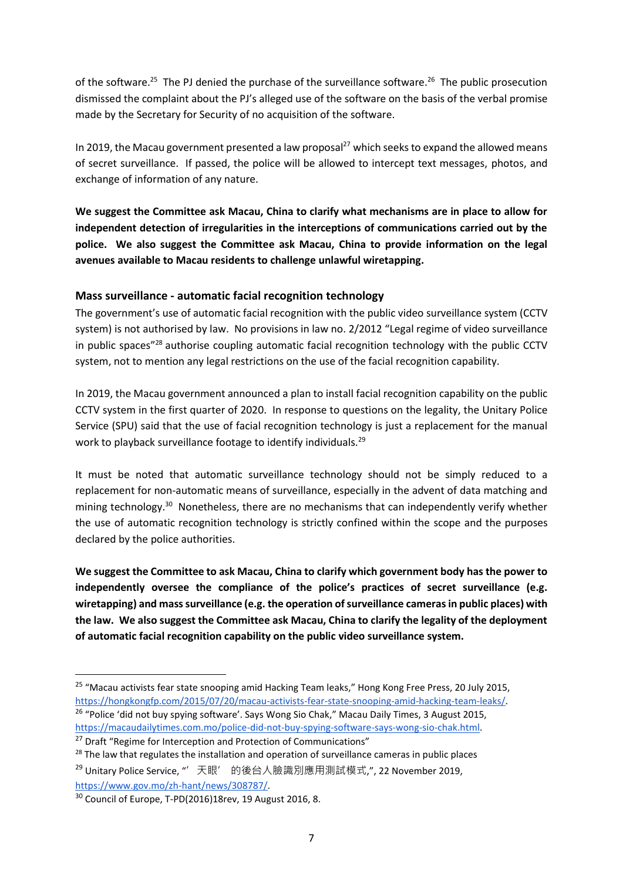of the software.<sup>25</sup> The PJ denied the purchase of the surveillance software.<sup>26</sup> The public prosecution dismissed the complaint about the PJ's alleged use of the software on the basis of the verbal promise made by the Secretary for Security of no acquisition of the software.

In 2019, the Macau government presented a law proposal<sup>27</sup> which seeks to expand the allowed means of secret surveillance. If passed, the police will be allowed to intercept text messages, photos, and exchange of information of any nature.

**We suggest the Committee ask Macau, China to clarify what mechanisms are in place to allow for independent detection of irregularities in the interceptions of communications carried out by the police. We also suggest the Committee ask Macau, China to provide information on the legal avenues available to Macau residents to challenge unlawful wiretapping.** 

### <span id="page-7-0"></span>**Mass surveillance - automatic facial recognition technology**

The government's use of automatic facial recognition with the public video surveillance system (CCTV system) is not authorised by law. No provisions in law no. 2/2012 "Legal regime of video surveillance in public spaces"<sup>28</sup> authorise coupling automatic facial recognition technology with the public CCTV system, not to mention any legal restrictions on the use of the facial recognition capability.

In 2019, the Macau government announced a plan to install facial recognition capability on the public CCTV system in the first quarter of 2020. In response to questions on the legality, the Unitary Police Service (SPU) said that the use of facial recognition technology is just a replacement for the manual work to playback surveillance footage to identify individuals.<sup>29</sup>

It must be noted that automatic surveillance technology should not be simply reduced to a replacement for non-automatic means of surveillance, especially in the advent of data matching and mining technology.<sup>30</sup> Nonetheless, there are no mechanisms that can independently verify whether the use of automatic recognition technology is strictly confined within the scope and the purposes declared by the police authorities.

**We suggest the Committee to ask Macau, China to clarify which government body has the power to independently oversee the compliance of the police's practices of secret surveillance (e.g. wiretapping) and mass surveillance (e.g. the operation of surveillance cameras in public places) with the law. We also suggest the Committee ask Macau, China to clarify the legality of the deployment of automatic facial recognition capability on the public video surveillance system.** 

<sup>&</sup>lt;sup>25</sup> "Macau activists fear state snooping amid Hacking Team leaks," Hong Kong Free Press, 20 July 2015, [https://hongkongfp.com/2015/07/20/macau-activists-fear-state-snooping-amid-hacking-team-leaks/.](https://hongkongfp.com/2015/07/20/macau-activists-fear-state-snooping-amid-hacking-team-leaks/) <sup>26</sup> "Police 'did not buy spying software'. Says Wong Sio Chak," Macau Daily Times, 3 August 2015, [https://macaudailytimes.com.mo/police-did-not-buy-spying-software-says-wong-sio-chak.html.](https://macaudailytimes.com.mo/police-did-not-buy-spying-software-says-wong-sio-chak.html)

<sup>&</sup>lt;sup>27</sup> Draft "Regime for Interception and Protection of Communications"

<sup>&</sup>lt;sup>28</sup> The law that regulates the installation and operation of surveillance cameras in public places

<sup>&</sup>lt;sup>29</sup> Unitary Police Service, "'天眼' 的後台人臉識別應用測試模式,", 22 November 2019, [https://www.gov.mo/zh-hant/news/308787/.](https://www.gov.mo/zh-hant/news/308787/)

<sup>30</sup> Council of Europe, T-PD(2016)18rev, 19 August 2016, 8.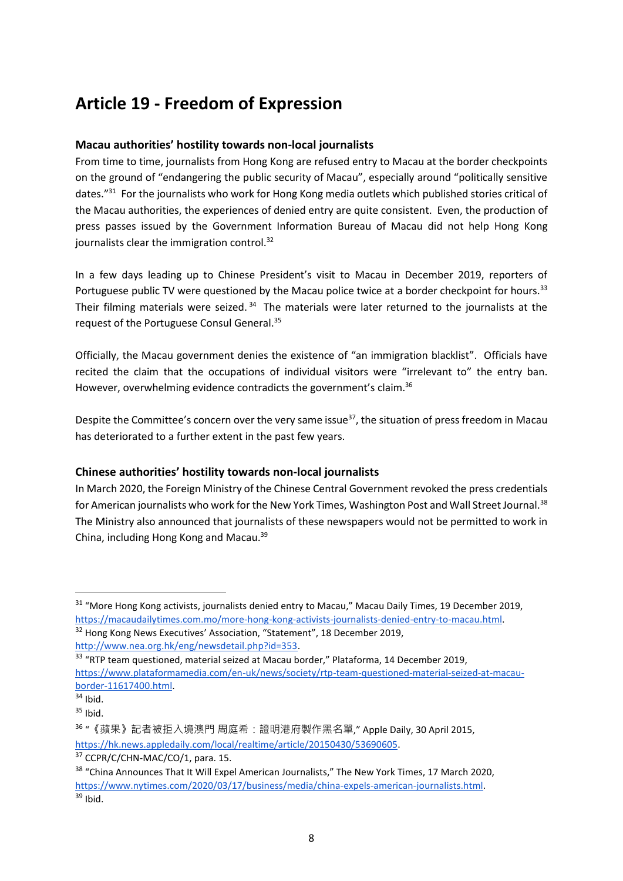## <span id="page-8-0"></span>**Article 19 - Freedom of Expression**

### <span id="page-8-1"></span>**Macau authorities' hostility towards non-local journalists**

From time to time, journalists from Hong Kong are refused entry to Macau at the border checkpoints on the ground of "endangering the public security of Macau", especially around "politically sensitive dates."<sup>31</sup> For the journalists who work for Hong Kong media outlets which published stories critical of the Macau authorities, the experiences of denied entry are quite consistent. Even, the production of press passes issued by the Government Information Bureau of Macau did not help Hong Kong journalists clear the immigration control.<sup>32</sup>

In a few days leading up to Chinese President's visit to Macau in December 2019, reporters of Portuguese public TV were questioned by the Macau police twice at a border checkpoint for hours.<sup>33</sup> Their filming materials were seized.<sup>34</sup> The materials were later returned to the journalists at the request of the Portuguese Consul General.<sup>35</sup>

Officially, the Macau government denies the existence of "an immigration blacklist". Officials have recited the claim that the occupations of individual visitors were "irrelevant to" the entry ban. However, overwhelming evidence contradicts the government's claim.<sup>36</sup>

Despite the Committee's concern over the very same issue $^{37}$ , the situation of press freedom in Macau has deteriorated to a further extent in the past few years.

### <span id="page-8-2"></span>**Chinese authorities' hostility towards non-local journalists**

In March 2020, the Foreign Ministry of the Chinese Central Government revoked the press credentials for American journalists who work for the New York Times, Washington Post and Wall Street Journal.<sup>38</sup> The Ministry also announced that journalists of these newspapers would not be permitted to work in China, including Hong Kong and Macau.<sup>39</sup>

<sup>&</sup>lt;sup>31</sup> "More Hong Kong activists, journalists denied entry to Macau," Macau Daily Times, 19 December 2019, [https://macaudailytimes.com.mo/more-hong-kong-activists-journalists-denied-entry-to-macau.html.](https://macaudailytimes.com.mo/more-hong-kong-activists-journalists-denied-entry-to-macau.html)

<sup>&</sup>lt;sup>32</sup> Hong Kong News Executives' Association, "Statement", 18 December 2019, [http://www.nea.org.hk/eng/newsdetail.php?id=353.](http://www.nea.org.hk/eng/newsdetail.php?id=353)

<sup>&</sup>lt;sup>33</sup> "RTP team questioned, material seized at Macau border," Plataforma, 14 December 2019, [https://www.plataformamedia.com/en-uk/news/society/rtp-team-questioned-material-seized-at-macau](https://www.plataformamedia.com/en-uk/news/society/rtp-team-questioned-material-seized-at-macau-border-11617400.html)[border-11617400.html.](https://www.plataformamedia.com/en-uk/news/society/rtp-team-questioned-material-seized-at-macau-border-11617400.html)

 $34$  Ibid.

 $35$  Ibid.

<sup>36</sup> "《蘋果》記者被拒入境澳門 周庭希:證明港府製作黑名單," Apple Daily, 30 April 2015, [https://hk.news.appledaily.com/local/realtime/article/20150430/53690605.](https://hk.news.appledaily.com/local/realtime/article/20150430/53690605)

<sup>&</sup>lt;sup>37</sup> CCPR/C/CHN-MAC/CO/1, para. 15.

<sup>&</sup>lt;sup>38</sup> "China Announces That It Will Expel American Journalists," The New York Times, 17 March 2020, [https://www.nytimes.com/2020/03/17/business/media/china-expels-american-journalists.html.](https://www.nytimes.com/2020/03/17/business/media/china-expels-american-journalists.html)  $39$  Ibid.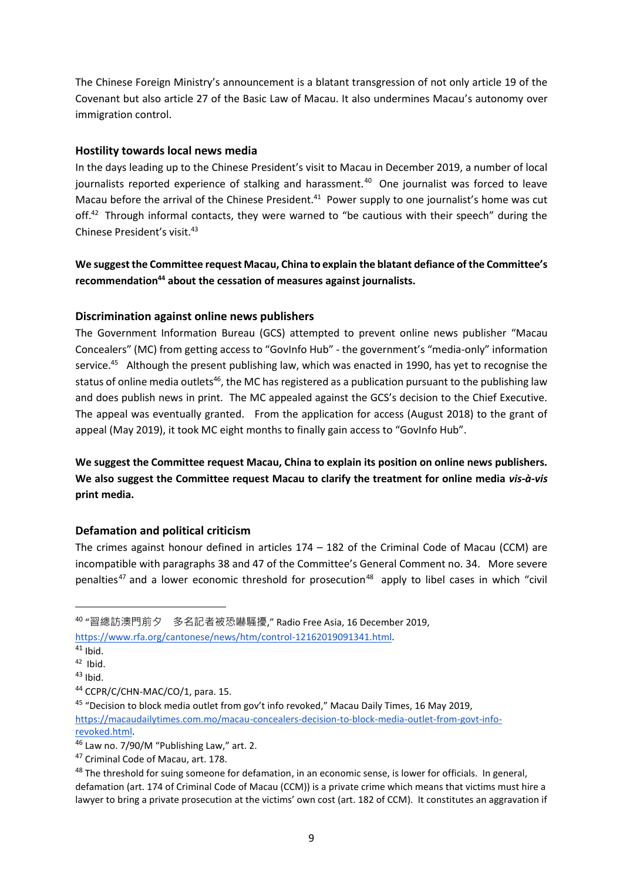The Chinese Foreign Ministry's announcement is a blatant transgression of not only article 19 of the Covenant but also article 27 of the Basic Law of Macau. It also undermines Macau's autonomy over immigration control.

### <span id="page-9-0"></span>**Hostility towards local news media**

In the days leading up to the Chinese President's visit to Macau in December 2019, a number of local journalists reported experience of stalking and harassment.<sup>40</sup> One journalist was forced to leave Macau before the arrival of the Chinese President.<sup>41</sup> Power supply to one journalist's home was cut off.<sup>42</sup> Through informal contacts, they were warned to "be cautious with their speech" during the Chinese President's visit.<sup>43</sup>

**We suggest the Committee request Macau, China to explain the blatant defiance of the Committee's recommendation<sup>44</sup> about the cessation of measures against journalists.**

### <span id="page-9-1"></span>**Discrimination against online news publishers**

The Government Information Bureau (GCS) attempted to prevent online news publisher "Macau Concealers" (MC) from getting access to "GovInfo Hub" - the government's "media-only" information service.<sup>45</sup> Although the present publishing law, which was enacted in 1990, has yet to recognise the status of online media outlets<sup>46</sup>, the MC has registered as a publication pursuant to the publishing law and does publish news in print. The MC appealed against the GCS's decision to the Chief Executive. The appeal was eventually granted. From the application for access (August 2018) to the grant of appeal (May 2019), it took MC eight months to finally gain access to "GovInfo Hub".

**We suggest the Committee request Macau, China to explain its position on online news publishers. We also suggest the Committee request Macau to clarify the treatment for online media** *vis-à-vis* **print media.**

### <span id="page-9-2"></span>**Defamation and political criticism**

The crimes against honour defined in articles 174 – 182 of the Criminal Code of Macau (CCM) are incompatible with paragraphs 38 and 47 of the Committee's General Comment no. 34. More severe penalties<sup>47</sup> and a lower economic threshold for prosecution<sup>48</sup> apply to libel cases in which "civil

[https://www.rfa.org/cantonese/news/htm/control-12162019091341.html.](https://www.rfa.org/cantonese/news/htm/control-12162019091341.html)

<sup>40</sup> "習總訪澳門前夕 多名記者被恐嚇騷擾," Radio Free Asia, 16 December 2019,

 $41$  Ibid.

<sup>42</sup> Ibid.

 $43$  Ibid.

<sup>&</sup>lt;sup>44</sup> CCPR/C/CHN-MAC/CO/1, para. 15.

<sup>&</sup>lt;sup>45</sup> "Decision to block media outlet from gov't info revoked," Macau Daily Times, 16 May 2019, [https://macaudailytimes.com.mo/macau-concealers-decision-to-block-media-outlet-from-govt-info](https://macaudailytimes.com.mo/macau-concealers-decision-to-block-media-outlet-from-govt-info-revoked.html)[revoked.html.](https://macaudailytimes.com.mo/macau-concealers-decision-to-block-media-outlet-from-govt-info-revoked.html)

<sup>46</sup> Law no. 7/90/M "Publishing Law," art. 2.

<sup>&</sup>lt;sup>47</sup> Criminal Code of Macau, art. 178.

<sup>&</sup>lt;sup>48</sup> The threshold for suing someone for defamation, in an economic sense, is lower for officials. In general, defamation (art. 174 of Criminal Code of Macau (CCM)) is a private crime which means that victims must hire a lawyer to bring a private prosecution at the victims' own cost (art. 182 of CCM). It constitutes an aggravation if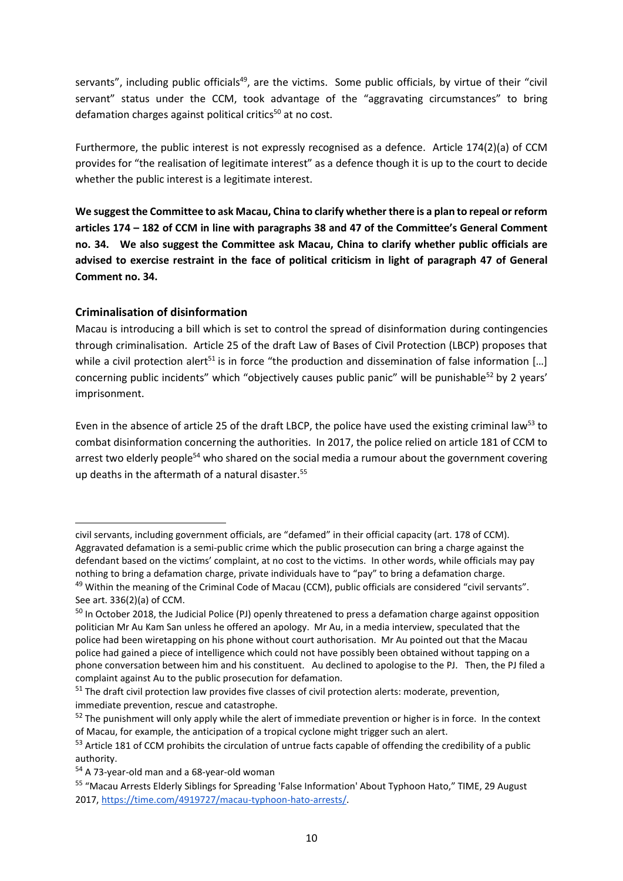servants", including public officials<sup>49</sup>, are the victims. Some public officials, by virtue of their "civil servant" status under the CCM, took advantage of the "aggravating circumstances" to bring defamation charges against political critics $50$  at no cost.

Furthermore, the public interest is not expressly recognised as a defence. Article 174(2)(a) of CCM provides for "the realisation of legitimate interest" as a defence though it is up to the court to decide whether the public interest is a legitimate interest.

**We suggest the Committee to ask Macau, China to clarify whether there is a plan to repeal or reform articles 174 – 182 of CCM in line with paragraphs 38 and 47 of the Committee's General Comment no. 34. We also suggest the Committee ask Macau, China to clarify whether public officials are advised to exercise restraint in the face of political criticism in light of paragraph 47 of General Comment no. 34.**

### <span id="page-10-0"></span>**Criminalisation of disinformation**

Macau is introducing a bill which is set to control the spread of disinformation during contingencies through criminalisation. Article 25 of the draft Law of Bases of Civil Protection (LBCP) proposes that while a civil protection alert<sup>51</sup> is in force "the production and dissemination of false information [...] concerning public incidents" which "objectively causes public panic" will be punishable<sup>52</sup> by 2 years' imprisonment.

Even in the absence of article 25 of the draft LBCP, the police have used the existing criminal law<sup>53</sup> to combat disinformation concerning the authorities. In 2017, the police relied on article 181 of CCM to arrest two elderly people<sup>54</sup> who shared on the social media a rumour about the government covering up deaths in the aftermath of a natural disaster.<sup>55</sup>

civil servants, including government officials, are "defamed" in their official capacity (art. 178 of CCM). Aggravated defamation is a semi-public crime which the public prosecution can bring a charge against the defendant based on the victims' complaint, at no cost to the victims. In other words, while officials may pay nothing to bring a defamation charge, private individuals have to "pay" to bring a defamation charge. <sup>49</sup> Within the meaning of the Criminal Code of Macau (CCM), public officials are considered "civil servants".

See art. 336(2)(a) of CCM.

<sup>&</sup>lt;sup>50</sup> In October 2018, the Judicial Police (PJ) openly threatened to press a defamation charge against opposition politician Mr Au Kam San unless he offered an apology. Mr Au, in a media interview, speculated that the police had been wiretapping on his phone without court authorisation. Mr Au pointed out that the Macau police had gained a piece of intelligence which could not have possibly been obtained without tapping on a phone conversation between him and his constituent. Au declined to apologise to the PJ. Then, the PJ filed a complaint against Au to the public prosecution for defamation.

<sup>&</sup>lt;sup>51</sup> The draft civil protection law provides five classes of civil protection alerts: moderate, prevention, immediate prevention, rescue and catastrophe.

 $52$  The punishment will only apply while the alert of immediate prevention or higher is in force. In the context of Macau, for example, the anticipation of a tropical cyclone might trigger such an alert.

<sup>53</sup> Article 181 of CCM prohibits the circulation of untrue facts capable of offending the credibility of a public authority.

<sup>&</sup>lt;sup>54</sup> A 73-year-old man and a 68-year-old woman

<sup>55</sup> "Macau Arrests Elderly Siblings for Spreading 'False Information' About Typhoon Hato," TIME, 29 August 2017, [https://time.com/4919727/macau-typhoon-hato-arrests/.](https://time.com/4919727/macau-typhoon-hato-arrests/)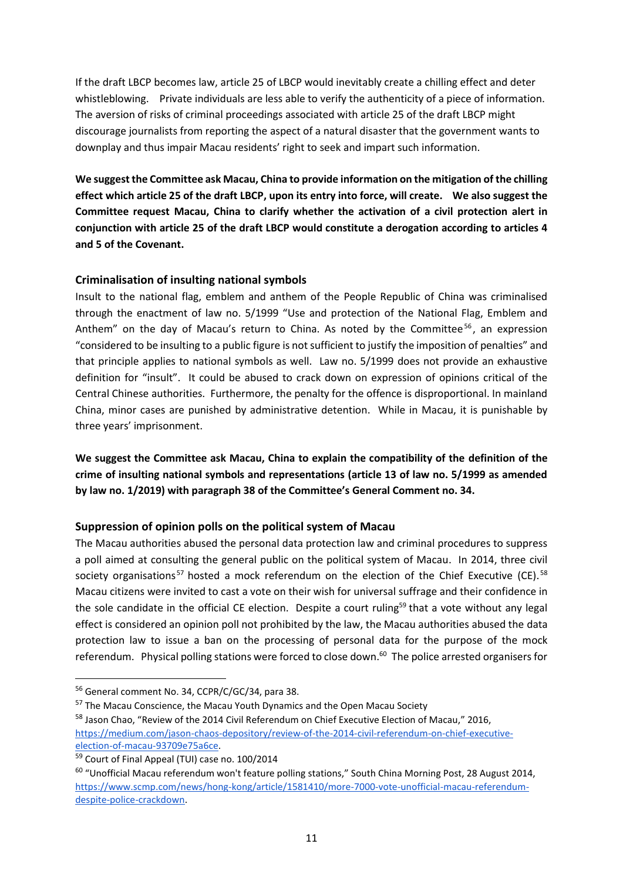If the draft LBCP becomes law, article 25 of LBCP would inevitably create a chilling effect and deter whistleblowing. Private individuals are less able to verify the authenticity of a piece of information. The aversion of risks of criminal proceedings associated with article 25 of the draft LBCP might discourage journalists from reporting the aspect of a natural disaster that the government wants to downplay and thus impair Macau residents' right to seek and impart such information.

**We suggest the Committee ask Macau, China to provide information on the mitigation of the chilling effect which article 25 of the draft LBCP, upon its entry into force, will create. We also suggest the Committee request Macau, China to clarify whether the activation of a civil protection alert in conjunction with article 25 of the draft LBCP would constitute a derogation according to articles 4 and 5 of the Covenant.** 

### <span id="page-11-0"></span>**Criminalisation of insulting national symbols**

Insult to the national flag, emblem and anthem of the People Republic of China was criminalised through the enactment of law no. 5/1999 "Use and protection of the National Flag, Emblem and Anthem" on the day of Macau's return to China. As noted by the Committee<sup>56</sup>, an expression "considered to be insulting to a public figure is not sufficient to justify the imposition of penalties" and that principle applies to national symbols as well. Law no. 5/1999 does not provide an exhaustive definition for "insult". It could be abused to crack down on expression of opinions critical of the Central Chinese authorities. Furthermore, the penalty for the offence is disproportional. In mainland China, minor cases are punished by administrative detention. While in Macau, it is punishable by three years' imprisonment.

**We suggest the Committee ask Macau, China to explain the compatibility of the definition of the crime of insulting national symbols and representations (article 13 of law no. 5/1999 as amended by law no. 1/2019) with paragraph 38 of the Committee's General Comment no. 34.** 

### <span id="page-11-1"></span>**Suppression of opinion polls on the political system of Macau**

The Macau authorities abused the personal data protection law and criminal procedures to suppress a poll aimed at consulting the general public on the political system of Macau. In 2014, three civil society organisations<sup>57</sup> hosted a mock referendum on the election of the Chief Executive (CE).<sup>58</sup> Macau citizens were invited to cast a vote on their wish for universal suffrage and their confidence in the sole candidate in the official CE election. Despite a court ruling<sup>59</sup> that a vote without any legal effect is considered an opinion poll not prohibited by the law, the Macau authorities abused the data protection law to issue a ban on the processing of personal data for the purpose of the mock referendum. Physical polling stations were forced to close down.<sup>60</sup> The police arrested organisers for

<sup>56</sup> General comment No. 34, CCPR/C/GC/34, para 38.

<sup>&</sup>lt;sup>57</sup> The Macau Conscience, the Macau Youth Dynamics and the Open Macau Society

<sup>&</sup>lt;sup>58</sup> Jason Chao, "Review of the 2014 Civil Referendum on Chief Executive Election of Macau," 2016, [https://medium.com/jason-chaos-depository/review-of-the-2014-civil-referendum-on-chief-executive-](https://medium.com/jason-chaos-depository/review-of-the-2014-civil-referendum-on-chief-executive-election-of-macau-93709e75a6ce)

[election-of-macau-93709e75a6ce.](https://medium.com/jason-chaos-depository/review-of-the-2014-civil-referendum-on-chief-executive-election-of-macau-93709e75a6ce) <sup>59</sup> Court of Final Appeal (TUI) case no. 100/2014

<sup>60</sup> "Unofficial Macau referendum won't feature polling stations," South China Morning Post, 28 August 2014, [https://www.scmp.com/news/hong-kong/article/1581410/more-7000-vote-unofficial-macau-referendum](https://www.scmp.com/news/hong-kong/article/1581410/more-7000-vote-unofficial-macau-referendum-despite-police-crackdown)[despite-police-crackdown.](https://www.scmp.com/news/hong-kong/article/1581410/more-7000-vote-unofficial-macau-referendum-despite-police-crackdown)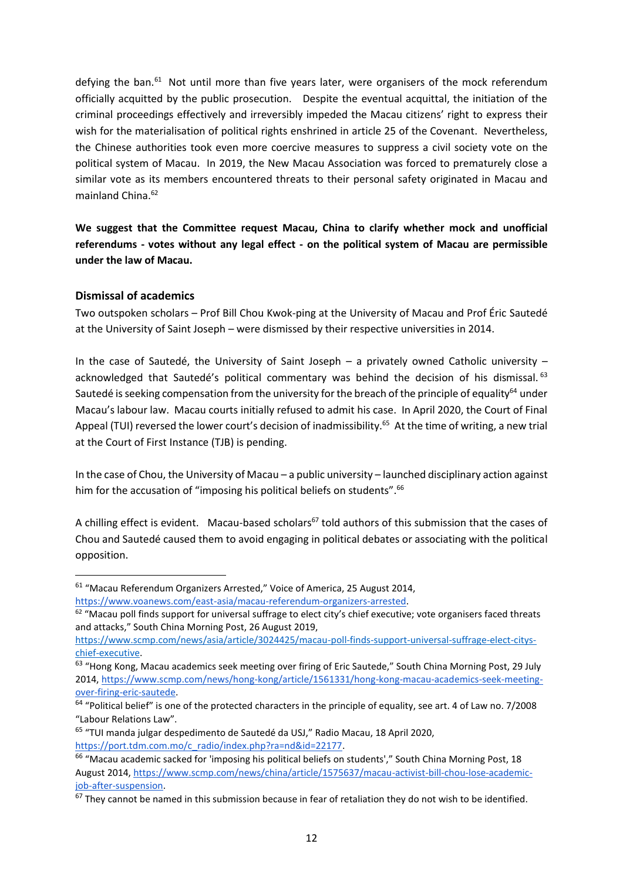defying the ban.<sup>61</sup> Not until more than five years later, were organisers of the mock referendum officially acquitted by the public prosecution. Despite the eventual acquittal, the initiation of the criminal proceedings effectively and irreversibly impeded the Macau citizens' right to express their wish for the materialisation of political rights enshrined in article 25 of the Covenant. Nevertheless, the Chinese authorities took even more coercive measures to suppress a civil society vote on the political system of Macau. In 2019, the New Macau Association was forced to prematurely close a similar vote as its members encountered threats to their personal safety originated in Macau and mainland China. 62

**We suggest that the Committee request Macau, China to clarify whether mock and unofficial referendums - votes without any legal effect - on the political system of Macau are permissible under the law of Macau.**

#### <span id="page-12-0"></span>**Dismissal of academics**

Two outspoken scholars – Prof Bill Chou Kwok-ping at the University of Macau and Prof Éric Sautedé at the University of Saint Joseph – were dismissed by their respective universities in 2014.

In the case of Sautedé, the University of Saint Joseph – a privately owned Catholic university – acknowledged that Sautedé's political commentary was behind the decision of his dismissal. 63 Sautedé is seeking compensation from the university for the breach of the principle of equality<sup>64</sup> under Macau's labour law. Macau courts initially refused to admit his case. In April 2020, the Court of Final Appeal (TUI) reversed the lower court's decision of inadmissibility.<sup>65</sup> At the time of writing, a new trial at the Court of First Instance (TJB) is pending.

In the case of Chou, the University of Macau – a public university – launched disciplinary action against him for the accusation of "imposing his political beliefs on students".<sup>66</sup>

A chilling effect is evident. Macau-based scholars<sup>67</sup> told authors of this submission that the cases of Chou and Sautedé caused them to avoid engaging in political debates or associating with the political opposition.

<sup>&</sup>lt;sup>61</sup> "Macau Referendum Organizers Arrested," Voice of America, 25 August 2014, [https://www.voanews.com/east-asia/macau-referendum-organizers-arrested.](https://www.voanews.com/east-asia/macau-referendum-organizers-arrested)

 $62$  "Macau poll finds support for universal suffrage to elect city's chief executive; vote organisers faced threats and attacks," South China Morning Post, 26 August 2019,

[https://www.scmp.com/news/asia/article/3024425/macau-poll-finds-support-universal-suffrage-elect-citys](https://www.scmp.com/news/asia/article/3024425/macau-poll-finds-support-universal-suffrage-elect-citys-chief-executive)[chief-executive.](https://www.scmp.com/news/asia/article/3024425/macau-poll-finds-support-universal-suffrage-elect-citys-chief-executive)

<sup>63</sup> "Hong Kong, Macau academics seek meeting over firing of Eric Sautede," South China Morning Post, 29 July 2014, [https://www.scmp.com/news/hong-kong/article/1561331/hong-kong-macau-academics-seek-meeting](https://www.scmp.com/news/hong-kong/article/1561331/hong-kong-macau-academics-seek-meeting-over-firing-eric-sautede)[over-firing-eric-sautede.](https://www.scmp.com/news/hong-kong/article/1561331/hong-kong-macau-academics-seek-meeting-over-firing-eric-sautede)

 $64$  "Political belief" is one of the protected characters in the principle of equality, see art. 4 of Law no. 7/2008 "Labour Relations Law".

<sup>65</sup> "TUI manda julgar despedimento de Sautedé da USJ," Radio Macau, 18 April 2020, [https://port.tdm.com.mo/c\\_radio/index.php?ra=nd&id=22177.](https://port.tdm.com.mo/c_radio/index.php?ra=nd&id=22177)

<sup>66</sup> "Macau academic sacked for 'imposing his political beliefs on students'," South China Morning Post, 18 August 2014[, https://www.scmp.com/news/china/article/1575637/macau-activist-bill-chou-lose-academic](https://www.scmp.com/news/china/article/1575637/macau-activist-bill-chou-lose-academic-job-after-suspension)[job-after-suspension.](https://www.scmp.com/news/china/article/1575637/macau-activist-bill-chou-lose-academic-job-after-suspension)

 $67$  Thev cannot be named in this submission because in fear of retaliation they do not wish to be identified.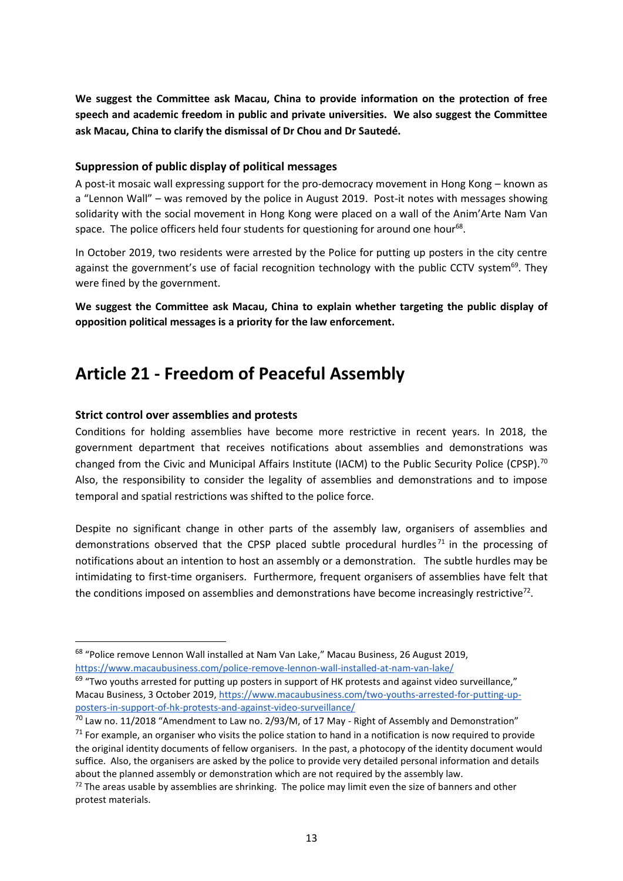**We suggest the Committee ask Macau, China to provide information on the protection of free speech and academic freedom in public and private universities. We also suggest the Committee ask Macau, China to clarify the dismissal of Dr Chou and Dr Sautedé.**

#### <span id="page-13-0"></span>**Suppression of public display of political messages**

A post-it mosaic wall expressing support for the pro-democracy movement in Hong Kong – known as a "Lennon Wall" – was removed by the police in August 2019. Post-it notes with messages showing solidarity with the social movement in Hong Kong were placed on a wall of the Anim'Arte Nam Van space. The police officers held four students for questioning for around one hour<sup>68</sup>.

In October 2019, two residents were arrested by the Police for putting up posters in the city centre against the government's use of facial recognition technology with the public CCTV system<sup>69</sup>. They were fined by the government.

**We suggest the Committee ask Macau, China to explain whether targeting the public display of opposition political messages is a priority for the law enforcement.** 

### <span id="page-13-1"></span>**Article 21 - Freedom of Peaceful Assembly**

### <span id="page-13-2"></span>**Strict control over assemblies and protests**

Conditions for holding assemblies have become more restrictive in recent years. In 2018, the government department that receives notifications about assemblies and demonstrations was changed from the Civic and Municipal Affairs Institute (IACM) to the Public Security Police (CPSP).<sup>70</sup> Also, the responsibility to consider the legality of assemblies and demonstrations and to impose temporal and spatial restrictions was shifted to the police force.

Despite no significant change in other parts of the assembly law, organisers of assemblies and demonstrations observed that the CPSP placed subtle procedural hurdles<sup>71</sup> in the processing of notifications about an intention to host an assembly or a demonstration. The subtle hurdles may be intimidating to first-time organisers. Furthermore, frequent organisers of assemblies have felt that the conditions imposed on assemblies and demonstrations have become increasingly restrictive<sup>72</sup>.

<sup>&</sup>lt;sup>68</sup> "Police remove Lennon Wall installed at Nam Van Lake," Macau Business, 26 August 2019, <https://www.macaubusiness.com/police-remove-lennon-wall-installed-at-nam-van-lake/>

 $69$  "Two youths arrested for putting up posters in support of HK protests and against video surveillance," Macau Business, 3 October 2019[, https://www.macaubusiness.com/two-youths-arrested-for-putting-up](https://www.macaubusiness.com/two-youths-arrested-for-putting-up-posters-in-support-of-hk-protests-and-against-video-surveillance/)[posters-in-support-of-hk-protests-and-against-video-surveillance/](https://www.macaubusiness.com/two-youths-arrested-for-putting-up-posters-in-support-of-hk-protests-and-against-video-surveillance/)

 $^{70}$  Law no. 11/2018 "Amendment to Law no. 2/93/M, of 17 May - Right of Assembly and Demonstration"

 $71$  For example, an organiser who visits the police station to hand in a notification is now required to provide the original identity documents of fellow organisers. In the past, a photocopy of the identity document would suffice. Also, the organisers are asked by the police to provide very detailed personal information and details about the planned assembly or demonstration which are not required by the assembly law.

 $72$  The areas usable by assemblies are shrinking. The police may limit even the size of banners and other protest materials.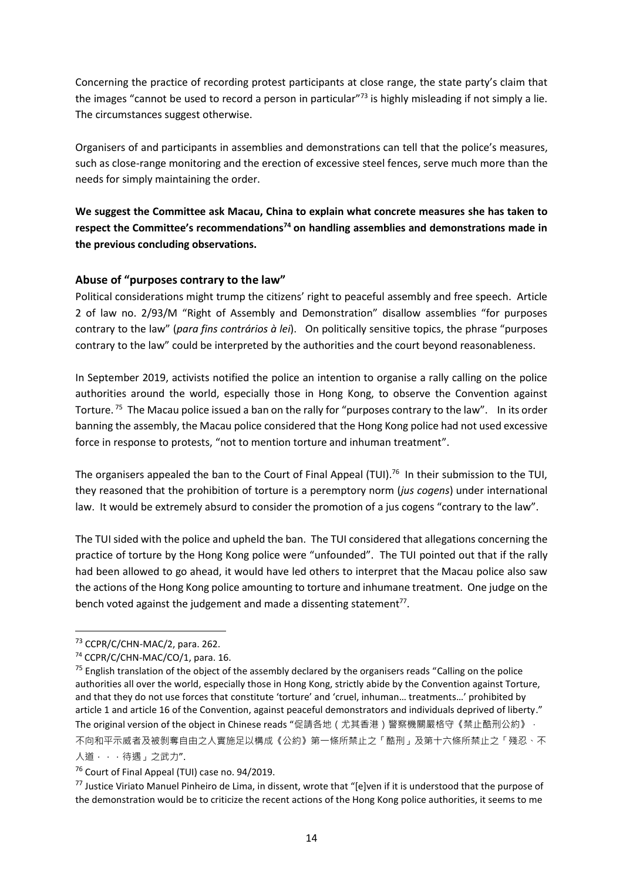Concerning the practice of recording protest participants at close range, the state party's claim that the images "cannot be used to record a person in particular"<sup>73</sup> is highly misleading if not simply a lie. The circumstances suggest otherwise.

Organisers of and participants in assemblies and demonstrations can tell that the police's measures, such as close-range monitoring and the erection of excessive steel fences, serve much more than the needs for simply maintaining the order.

**We suggest the Committee ask Macau, China to explain what concrete measures she has taken to respect the Committee's recommendations<sup>74</sup> on handling assemblies and demonstrations made in the previous concluding observations.**

### <span id="page-14-0"></span>**Abuse of "purposes contrary to the law"**

Political considerations might trump the citizens' right to peaceful assembly and free speech. Article 2 of law no. 2/93/M "Right of Assembly and Demonstration" disallow assemblies "for purposes contrary to the law" (*para fins contrários à lei*). On politically sensitive topics, the phrase "purposes contrary to the law" could be interpreted by the authorities and the court beyond reasonableness.

In September 2019, activists notified the police an intention to organise a rally calling on the police authorities around the world, especially those in Hong Kong, to observe the Convention against Torture.<sup>75</sup> The Macau police issued a ban on the rally for "purposes contrary to the law". In its order banning the assembly, the Macau police considered that the Hong Kong police had not used excessive force in response to protests, "not to mention torture and inhuman treatment".

The organisers appealed the ban to the Court of Final Appeal (TUI).<sup>76</sup> In their submission to the TUI, they reasoned that the prohibition of torture is a peremptory norm (*jus cogens*) under international law. It would be extremely absurd to consider the promotion of a jus cogens "contrary to the law".

The TUI sided with the police and upheld the ban. The TUI considered that allegations concerning the practice of torture by the Hong Kong police were "unfounded". The TUI pointed out that if the rally had been allowed to go ahead, it would have led others to interpret that the Macau police also saw the actions of the Hong Kong police amounting to torture and inhumane treatment. One judge on the bench voted against the judgement and made a dissenting statement $^{77}$ .

<sup>&</sup>lt;sup>73</sup> CCPR/C/CHN-MAC/2, para. 262.

<sup>74</sup> CCPR/C/CHN-MAC/CO/1, para. 16.

<sup>&</sup>lt;sup>75</sup> English translation of the object of the assembly declared by the organisers reads "Calling on the police authorities all over the world, especially those in Hong Kong, strictly abide by the Convention against Torture, and that they do not use forces that constitute 'torture' and 'cruel, inhuman… treatments…' prohibited by article 1 and article 16 of the Convention, against peaceful demonstrators and individuals deprived of liberty." The original version of the object in Chinese reads "促請各地 (尤其香港)警察機關嚴格守《禁止酷刑公約》, 不向和平示威者及被剝奪自由之人實施足以構成《公約》第一條所禁止之「酷刑」及第十六條所禁止之「殘忍、不 人道...待遇」之武力".

<sup>&</sup>lt;sup>76</sup> Court of Final Appeal (TUI) case no. 94/2019.

 $77$  Justice Viriato Manuel Pinheiro de Lima, in dissent, wrote that "[e]ven if it is understood that the purpose of the demonstration would be to criticize the recent actions of the Hong Kong police authorities, it seems to me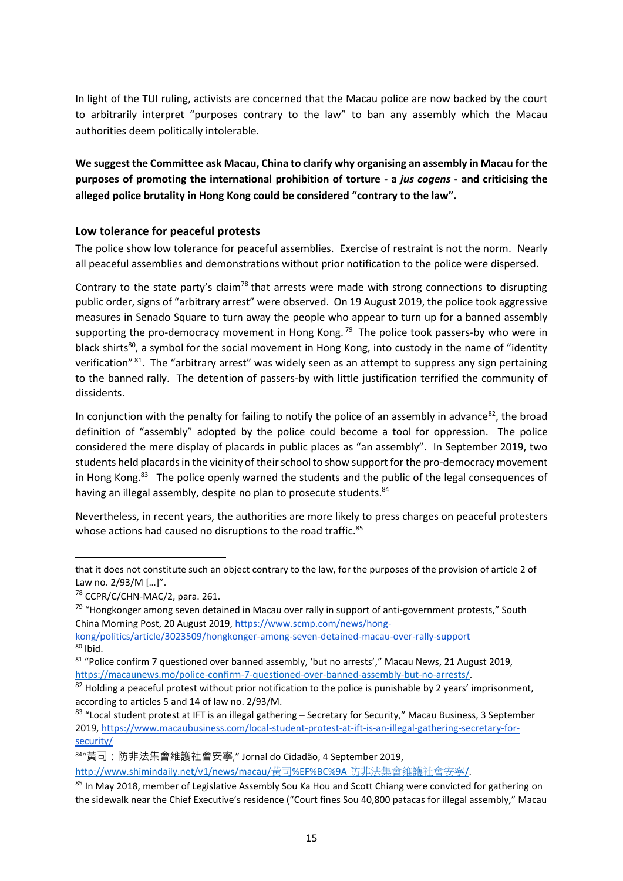In light of the TUI ruling, activists are concerned that the Macau police are now backed by the court to arbitrarily interpret "purposes contrary to the law" to ban any assembly which the Macau authorities deem politically intolerable.

**We suggest the Committee ask Macau, China to clarify why organising an assembly in Macau for the purposes of promoting the international prohibition of torture - a** *jus cogens* **- and criticising the alleged police brutality in Hong Kong could be considered "contrary to the law".**

### <span id="page-15-0"></span>**Low tolerance for peaceful protests**

The police show low tolerance for peaceful assemblies. Exercise of restraint is not the norm. Nearly all peaceful assemblies and demonstrations without prior notification to the police were dispersed.

Contrary to the state party's claim<sup>78</sup> that arrests were made with strong connections to disrupting public order, signs of "arbitrary arrest" were observed. On 19 August 2019, the police took aggressive measures in Senado Square to turn away the people who appear to turn up for a banned assembly supporting the pro-democracy movement in Hong Kong.<sup>79</sup> The police took passers-by who were in black shirts<sup>80</sup>, a symbol for the social movement in Hong Kong, into custody in the name of "identity verification" <sup>81</sup>. The "arbitrary arrest" was widely seen as an attempt to suppress any sign pertaining to the banned rally. The detention of passers-by with little justification terrified the community of dissidents.

In conjunction with the penalty for failing to notify the police of an assembly in advance  $82$ , the broad definition of "assembly" adopted by the police could become a tool for oppression. The police considered the mere display of placards in public places as "an assembly". In September 2019, two students held placards in the vicinity of their school to show support for the pro-democracy movement in Hong Kong.<sup>83</sup> The police openly warned the students and the public of the legal consequences of having an illegal assembly, despite no plan to prosecute students.<sup>84</sup>

Nevertheless, in recent years, the authorities are more likely to press charges on peaceful protesters whose actions had caused no disruptions to the road traffic.<sup>85</sup>

that it does not constitute such an object contrary to the law, for the purposes of the provision of article 2 of Law no. 2/93/M […]".

<sup>78</sup> CCPR/C/CHN-MAC/2, para. 261.

<sup>&</sup>lt;sup>79</sup> "Hongkonger among seven detained in Macau over rally in support of anti-government protests," South China Morning Post, 20 August 2019[, https://www.scmp.com/news/hong-](https://www.scmp.com/news/hong-kong/politics/article/3023509/hongkonger-among-seven-detained-macau-over-rally-support)

[kong/politics/article/3023509/hongkonger-among-seven-detained-macau-over-rally-support](https://www.scmp.com/news/hong-kong/politics/article/3023509/hongkonger-among-seven-detained-macau-over-rally-support)  $80$  Ibid.

<sup>&</sup>lt;sup>81</sup> "Police confirm 7 questioned over banned assembly, 'but no arrests'," Macau News, 21 August 2019, [https://macaunews.mo/police-confirm-7-questioned-over-banned-assembly-but-no-arrests/.](https://macaunews.mo/police-confirm-7-questioned-over-banned-assembly-but-no-arrests/)

<sup>&</sup>lt;sup>82</sup> Holding a peaceful protest without prior notification to the police is punishable by 2 years' imprisonment, according to articles 5 and 14 of law no. 2/93/M.

<sup>83 &</sup>quot;Local student protest at IFT is an illegal gathering - Secretary for Security," Macau Business, 3 September 2019, [https://www.macaubusiness.com/local-student-protest-at-ift-is-an-illegal-gathering-secretary-for](https://www.macaubusiness.com/local-student-protest-at-ift-is-an-illegal-gathering-secretary-for-security/)[security/](https://www.macaubusiness.com/local-student-protest-at-ift-is-an-illegal-gathering-secretary-for-security/)

<sup>84</sup> "黃司:防非法集會維護社會安寧," Jornal do Cidadão, 4 September 2019,

[http://www.shimindaily.net/v1/news/macau/](http://www.shimindaily.net/v1/news/macau/黃司%EF%BC%9A防非法集會維護社會安寧/)黃司%EF%BC%9A 防非法集會維護社會安寧/.

<sup>85</sup> In May 2018, member of Legislative Assembly Sou Ka Hou and Scott Chiang were convicted for gathering on the sidewalk near the Chief Executive's residence ("Court fines Sou 40,800 patacas for illegal assembly," Macau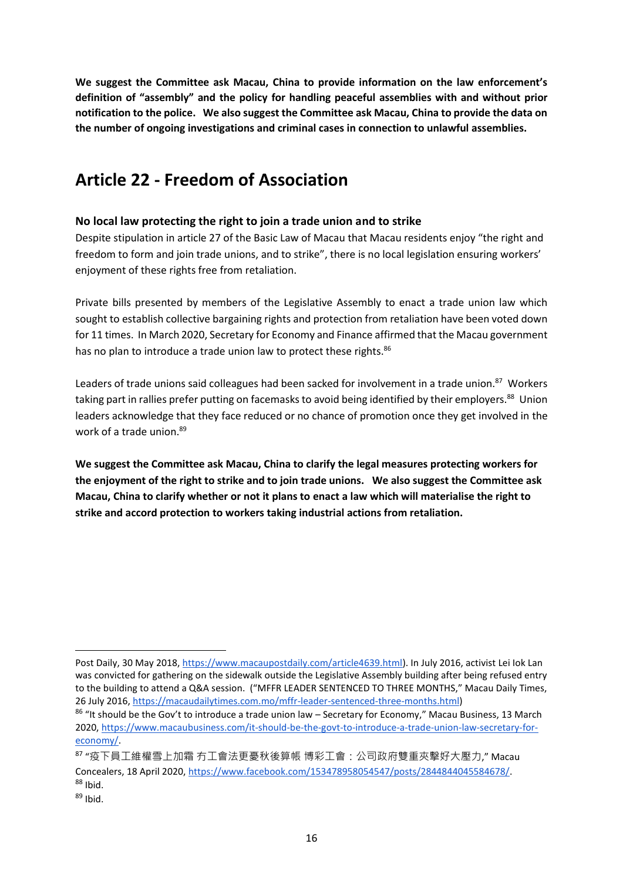**We suggest the Committee ask Macau, China to provide information on the law enforcement's definition of "assembly" and the policy for handling peaceful assemblies with and without prior notification to the police. We also suggest the Committee ask Macau, China to provide the data on the number of ongoing investigations and criminal cases in connection to unlawful assemblies.** 

### <span id="page-16-0"></span>**Article 22 - Freedom of Association**

### <span id="page-16-1"></span>**No local law protecting the right to join a trade union and to strike**

Despite stipulation in article 27 of the Basic Law of Macau that Macau residents enjoy "the right and freedom to form and join trade unions, and to strike", there is no local legislation ensuring workers' enjoyment of these rights free from retaliation.

Private bills presented by members of the Legislative Assembly to enact a trade union law which sought to establish collective bargaining rights and protection from retaliation have been voted down for 11 times. In March 2020, Secretary for Economy and Finance affirmed that the Macau government has no plan to introduce a trade union law to protect these rights.<sup>86</sup>

Leaders of trade unions said colleagues had been sacked for involvement in a trade union.<sup>87</sup> Workers taking part in rallies prefer putting on facemasks to avoid being identified by their employers.<sup>88</sup> Union leaders acknowledge that they face reduced or no chance of promotion once they get involved in the work of a trade union. 89

**We suggest the Committee ask Macau, China to clarify the legal measures protecting workers for the enjoyment of the right to strike and to join trade unions. We also suggest the Committee ask Macau, China to clarify whether or not it plans to enact a law which will materialise the right to strike and accord protection to workers taking industrial actions from retaliation.** 

Post Daily, 30 May 2018[, https://www.macaupostdaily.com/article4639.html\)](https://www.macaupostdaily.com/article4639.html). In July 2016, activist Lei Iok Lan was convicted for gathering on the sidewalk outside the Legislative Assembly building after being refused entry to the building to attend a Q&A session. ("MFFR LEADER SENTENCED TO THREE MONTHS," Macau Daily Times, 26 July 2016, [https://macaudailytimes.com.mo/mffr-leader-sentenced-three-months.html\)](https://macaudailytimes.com.mo/mffr-leader-sentenced-three-months.html)

<sup>86 &</sup>quot;It should be the Gov't to introduce a trade union law – Secretary for Economy," Macau Business, 13 March 2020, [https://www.macaubusiness.com/it-should-be-the-govt-to-introduce-a-trade-union-law-secretary-for](https://www.macaubusiness.com/it-should-be-the-govt-to-introduce-a-trade-union-law-secretary-for-economy/)[economy/.](https://www.macaubusiness.com/it-should-be-the-govt-to-introduce-a-trade-union-law-secretary-for-economy/)

<sup>87</sup> "疫下員工維權雪上加霜 冇工會法更憂秋後算帳 博彩工會:公司政府雙重夾擊好大壓力," Macau Concealers, 18 April 2020, [https://www.facebook.com/153478958054547/posts/2844844045584678/.](https://www.facebook.com/153478958054547/posts/2844844045584678/)  $88$  Ibid.

<sup>89</sup> Ibid.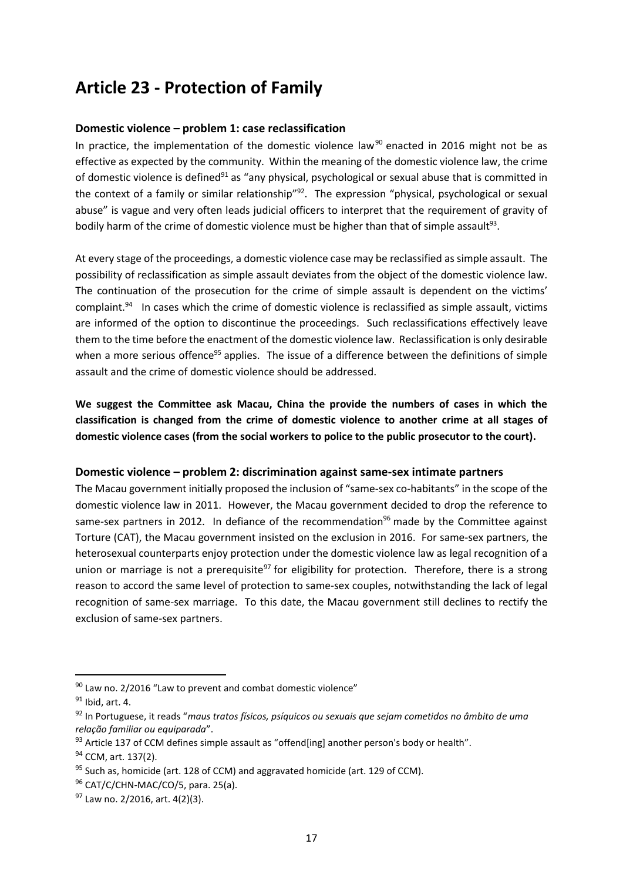### <span id="page-17-0"></span>**Article 23 - Protection of Family**

### <span id="page-17-1"></span>**Domestic violence – problem 1: case reclassification**

In practice, the implementation of the domestic violence law<sup>90</sup> enacted in 2016 might not be as effective as expected by the community. Within the meaning of the domestic violence law, the crime of domestic violence is defined<sup>91</sup> as "any physical, psychological or sexual abuse that is committed in the context of a family or similar relationship"<sup>92</sup>. The expression "physical, psychological or sexual abuse" is vague and very often leads judicial officers to interpret that the requirement of gravity of bodily harm of the crime of domestic violence must be higher than that of simple assault<sup>93</sup>.

At every stage of the proceedings, a domestic violence case may be reclassified as simple assault. The possibility of reclassification as simple assault deviates from the object of the domestic violence law. The continuation of the prosecution for the crime of simple assault is dependent on the victims' complaint.<sup>94</sup> In cases which the crime of domestic violence is reclassified as simple assault, victims are informed of the option to discontinue the proceedings. Such reclassifications effectively leave them to the time before the enactment of the domestic violence law. Reclassification is only desirable when a more serious offence<sup>95</sup> applies. The issue of a difference between the definitions of simple assault and the crime of domestic violence should be addressed.

**We suggest the Committee ask Macau, China the provide the numbers of cases in which the classification is changed from the crime of domestic violence to another crime at all stages of domestic violence cases (from the social workers to police to the public prosecutor to the court).** 

### <span id="page-17-2"></span>**Domestic violence – problem 2: discrimination against same-sex intimate partners**

The Macau government initially proposed the inclusion of "same-sex co-habitants" in the scope of the domestic violence law in 2011. However, the Macau government decided to drop the reference to same-sex partners in 2012. In defiance of the recommendation<sup>96</sup> made by the Committee against Torture (CAT), the Macau government insisted on the exclusion in 2016. For same-sex partners, the heterosexual counterparts enjoy protection under the domestic violence law as legal recognition of a union or marriage is not a prerequisite<sup>97</sup> for eligibility for protection. Therefore, there is a strong reason to accord the same level of protection to same-sex couples, notwithstanding the lack of legal recognition of same-sex marriage. To this date, the Macau government still declines to rectify the exclusion of same-sex partners.

 $90$  Law no. 2/2016 "Law to prevent and combat domestic violence"

 $91$  Ibid, art. 4.

<sup>92</sup> In Portuguese, it reads "*maus tratos físicos, psíquicos ou sexuais que sejam cometidos no âmbito de uma relação familiar ou equiparada*".

<sup>93</sup> Article 137 of CCM defines simple assault as "offend[ing] another person's body or health".

<sup>&</sup>lt;sup>94</sup> CCM, art. 137(2).

 $95$  Such as, homicide (art. 128 of CCM) and aggravated homicide (art. 129 of CCM).

<sup>96</sup> CAT/C/CHN-MAC/CO/5, para. 25(a).

 $97$  Law no. 2/2016, art. 4(2)(3).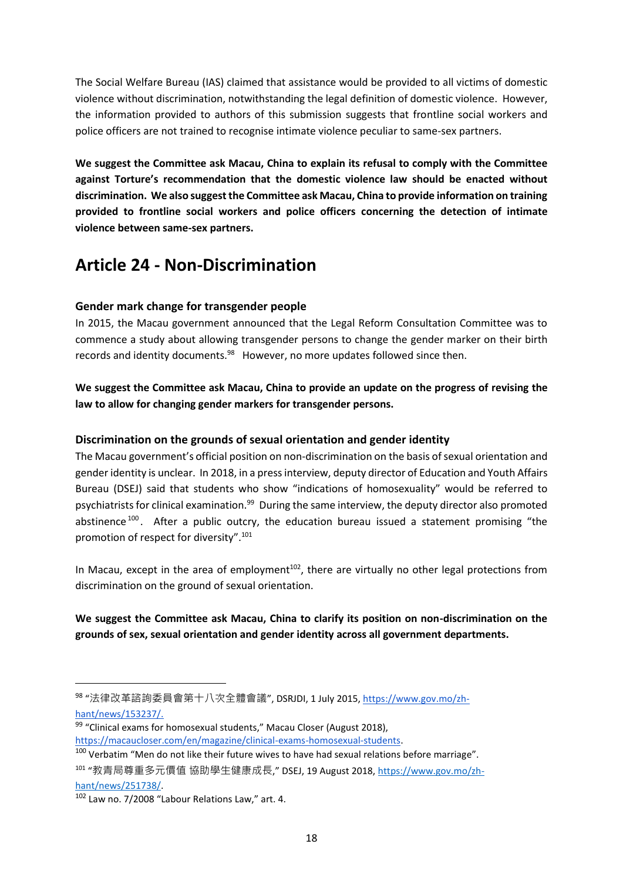The Social Welfare Bureau (IAS) claimed that assistance would be provided to all victims of domestic violence without discrimination, notwithstanding the legal definition of domestic violence. However, the information provided to authors of this submission suggests that frontline social workers and police officers are not trained to recognise intimate violence peculiar to same-sex partners.

**We suggest the Committee ask Macau, China to explain its refusal to comply with the Committee against Torture's recommendation that the domestic violence law should be enacted without discrimination. We also suggest the Committee ask Macau, China to provide information on training provided to frontline social workers and police officers concerning the detection of intimate violence between same-sex partners.** 

### <span id="page-18-0"></span>**Article 24 - Non-Discrimination**

### <span id="page-18-1"></span>**Gender mark change for transgender people**

In 2015, the Macau government announced that the Legal Reform Consultation Committee was to commence a study about allowing transgender persons to change the gender marker on their birth records and identity documents.<sup>98</sup> However, no more updates followed since then.

**We suggest the Committee ask Macau, China to provide an update on the progress of revising the law to allow for changing gender markers for transgender persons.** 

### <span id="page-18-2"></span>**Discrimination on the grounds of sexual orientation and gender identity**

The Macau government's official position on non-discrimination on the basis of sexual orientation and gender identity is unclear. In 2018, in a press interview, deputy director of Education and Youth Affairs Bureau (DSEJ) said that students who show "indications of homosexuality" would be referred to psychiatrists for clinical examination.<sup>99</sup> During the same interview, the deputy director also promoted abstinence  $100$ . After a public outcry, the education bureau issued a statement promising "the promotion of respect for diversity".<sup>101</sup>

In Macau, except in the area of employment<sup>102</sup>, there are virtually no other legal protections from discrimination on the ground of sexual orientation.

### **We suggest the Committee ask Macau, China to clarify its position on non-discrimination on the grounds of sex, sexual orientation and gender identity across all government departments.**

<sup>&</sup>lt;sup>98</sup> "法律改革諮詢委員會第十八次全體會議", DSRJDI, 1 July 2015, <u>https://www.gov.mo/zh</u>[hant/news/153237/.](https://www.gov.mo/zh-hant/news/153237/)

<sup>&</sup>lt;sup>99</sup> "Clinical exams for homosexual students," Macau Closer (August 2018), [https://macaucloser.com/en/magazine/clinical-exams-homosexual-students.](https://macaucloser.com/en/magazine/clinical-exams-homosexual-students)

<sup>&</sup>lt;sup>100</sup> Verbatim "Men do not like their future wives to have had sexual relations before marriage".

<sup>&</sup>lt;sup>101</sup> "教青局尊重多元價值 協助學生健康成長," DSEJ, 19 August 2018, <u>https://www.gov.mo/zh-</u> [hant/news/251738/.](https://www.gov.mo/zh-hant/news/251738/)

<sup>102</sup> Law no. 7/2008 "Labour Relations Law," art. 4.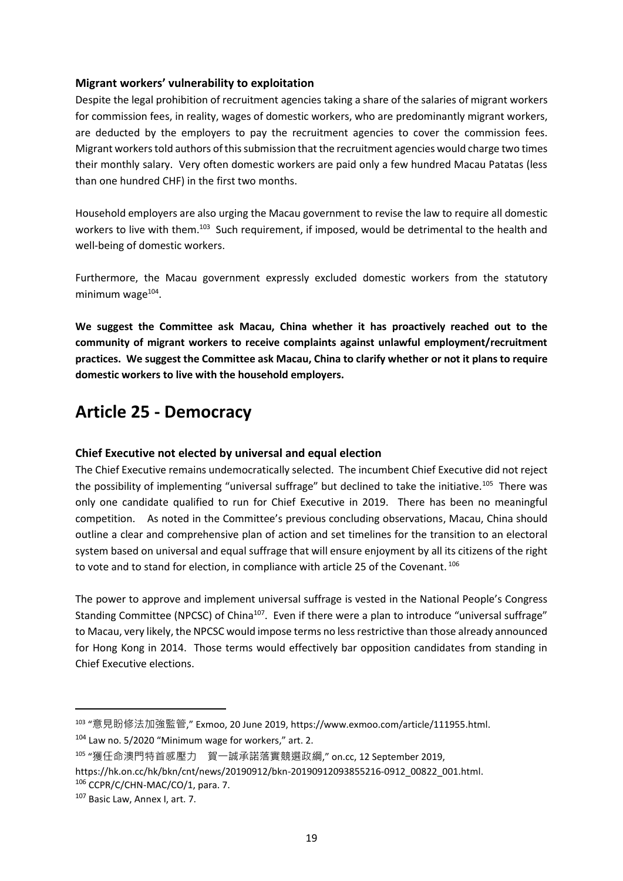#### <span id="page-19-0"></span>**Migrant workers' vulnerability to exploitation**

Despite the legal prohibition of recruitment agencies taking a share of the salaries of migrant workers for commission fees, in reality, wages of domestic workers, who are predominantly migrant workers, are deducted by the employers to pay the recruitment agencies to cover the commission fees. Migrant workers told authors of this submission that the recruitment agencies would charge two times their monthly salary. Very often domestic workers are paid only a few hundred Macau Patatas (less than one hundred CHF) in the first two months.

Household employers are also urging the Macau government to revise the law to require all domestic workers to live with them.<sup>103</sup> Such requirement, if imposed, would be detrimental to the health and well-being of domestic workers.

Furthermore, the Macau government expressly excluded domestic workers from the statutory minimum wage<sup>104</sup>.

**We suggest the Committee ask Macau, China whether it has proactively reached out to the community of migrant workers to receive complaints against unlawful employment/recruitment practices. We suggest the Committee ask Macau, China to clarify whether or not it plans to require domestic workers to live with the household employers.** 

### <span id="page-19-1"></span>**Article 25 - Democracy**

### <span id="page-19-2"></span>**Chief Executive not elected by universal and equal election**

The Chief Executive remains undemocratically selected. The incumbent Chief Executive did not reject the possibility of implementing "universal suffrage" but declined to take the initiative.<sup>105</sup> There was only one candidate qualified to run for Chief Executive in 2019. There has been no meaningful competition. As noted in the Committee's previous concluding observations, Macau, China should outline a clear and comprehensive plan of action and set timelines for the transition to an electoral system based on universal and equal suffrage that will ensure enjoyment by all its citizens of the right to vote and to stand for election, in compliance with article 25 of the Covenant. 106

The power to approve and implement universal suffrage is vested in the National People's Congress Standing Committee (NPCSC) of China<sup>107</sup>. Even if there were a plan to introduce "universal suffrage" to Macau, very likely, the NPCSC would impose terms no less restrictive than those already announced for Hong Kong in 2014. Those terms would effectively bar opposition candidates from standing in Chief Executive elections.

<sup>103</sup> "意見盼修法加強監管," Exmoo, 20 June 2019, https://www.exmoo.com/article/111955.html.

 $104$  Law no. 5/2020 "Minimum wage for workers," art. 2.

<sup>105</sup> "獲任命澳門特首感壓力 賀一誠承諾落實競選政綱," on.cc, 12 September 2019,

https://hk.on.cc/hk/bkn/cnt/news/20190912/bkn-20190912093855216-0912\_00822\_001.html.

<sup>106</sup> CCPR/C/CHN-MAC/CO/1, para. 7.

<sup>107</sup> Basic Law, Annex I, art. 7.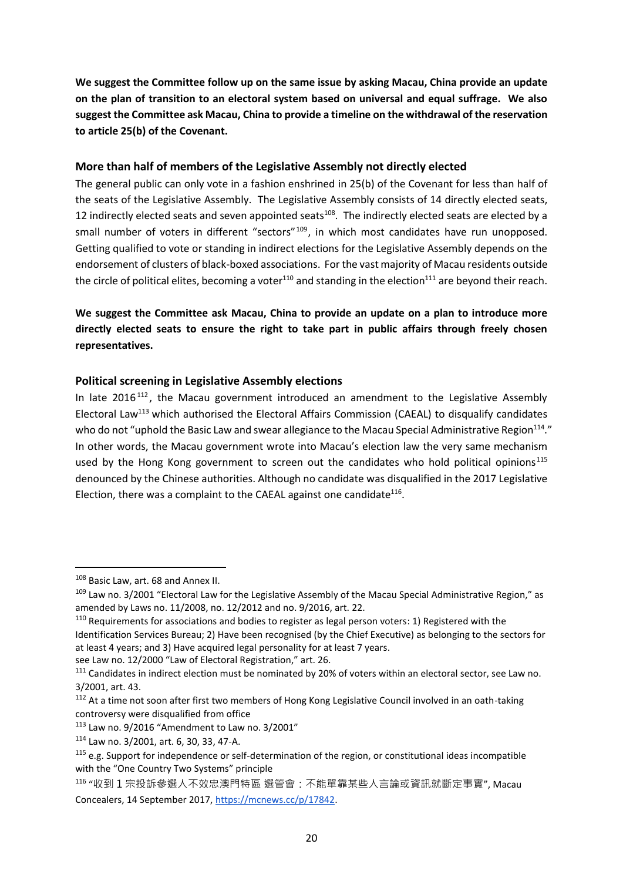**We suggest the Committee follow up on the same issue by asking Macau, China provide an update on the plan of transition to an electoral system based on universal and equal suffrage. We also suggest the Committee ask Macau, China to provide a timeline on the withdrawal of the reservation to article 25(b) of the Covenant.**

#### <span id="page-20-0"></span>**More than half of members of the Legislative Assembly not directly elected**

The general public can only vote in a fashion enshrined in 25(b) of the Covenant for less than half of the seats of the Legislative Assembly. The Legislative Assembly consists of 14 directly elected seats, 12 indirectly elected seats and seven appointed seats<sup>108</sup>. The indirectly elected seats are elected by a small number of voters in different "sectors"<sup>109</sup>, in which most candidates have run unopposed. Getting qualified to vote or standing in indirect elections for the Legislative Assembly depends on the endorsement of clusters of black-boxed associations. For the vast majority of Macau residents outside the circle of political elites, becoming a voter<sup>110</sup> and standing in the election<sup>111</sup> are beyond their reach.

### **We suggest the Committee ask Macau, China to provide an update on a plan to introduce more directly elected seats to ensure the right to take part in public affairs through freely chosen representatives.**

### <span id="page-20-1"></span>**Political screening in Legislative Assembly elections**

In late  $2016^{112}$ , the Macau government introduced an amendment to the Legislative Assembly Electoral Law<sup>113</sup> which authorised the Electoral Affairs Commission (CAEAL) to disqualify candidates who do not "uphold the Basic Law and swear allegiance to the Macau Special Administrative Region<sup>114</sup>." In other words, the Macau government wrote into Macau's election law the very same mechanism used by the Hong Kong government to screen out the candidates who hold political opinions<sup>115</sup> denounced by the Chinese authorities. Although no candidate was disqualified in the 2017 Legislative Election, there was a complaint to the CAEAL against one candidate<sup>116</sup>.

 $110$  Requirements for associations and bodies to register as legal person voters: 1) Registered with the Identification Services Bureau; 2) Have been recognised (by the Chief Executive) as belonging to the sectors for at least 4 years; and 3) Have acquired legal personality for at least 7 years.

see Law no. 12/2000 "Law of Electoral Registration," art. 26.

<sup>108</sup> Basic Law, art. 68 and Annex II.

<sup>109</sup> Law no. 3/2001 "Electoral Law for the Legislative Assembly of the Macau Special Administrative Region," as amended by Laws no. 11/2008, no. 12/2012 and no. 9/2016, art. 22.

<sup>&</sup>lt;sup>111</sup> Candidates in indirect election must be nominated by 20% of voters within an electoral sector, see Law no. 3/2001, art. 43.

<sup>&</sup>lt;sup>112</sup> At a time not soon after first two members of Hong Kong Legislative Council involved in an oath-taking controversy were disqualified from office

<sup>113</sup> Law no. 9/2016 "Amendment to Law no. 3/2001"

<sup>114</sup> Law no. 3/2001, art. 6, 30, 33, 47-A.

 $115$  e.g. Support for independence or self-determination of the region, or constitutional ideas incompatible with the "One Country Two Systems" principle

<sup>116</sup> "收到 1 宗投訴參選人不效忠澳門特區 選管會:不能單靠某些人言論或資訊就斷定事實", Macau Concealers, 14 September 2017, [https://mcnews.cc/p/17842.](https://mcnews.cc/p/17842)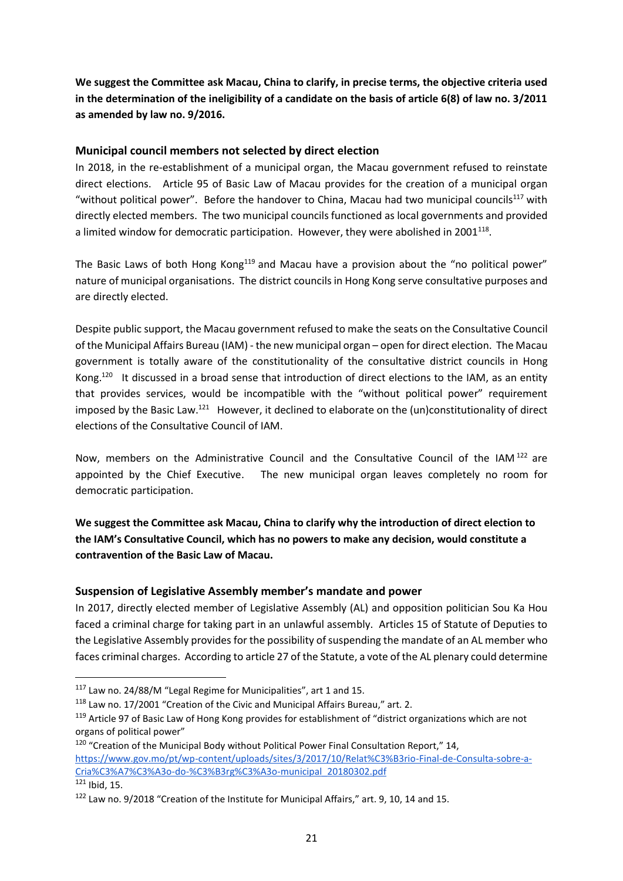**We suggest the Committee ask Macau, China to clarify, in precise terms, the objective criteria used in the determination of the ineligibility of a candidate on the basis of article 6(8) of law no. 3/2011 as amended by law no. 9/2016.** 

### <span id="page-21-0"></span>**Municipal council members not selected by direct election**

In 2018, in the re-establishment of a municipal organ, the Macau government refused to reinstate direct elections. Article 95 of Basic Law of Macau provides for the creation of a municipal organ "without political power". Before the handover to China, Macau had two municipal councils<sup>117</sup> with directly elected members. The two municipal councils functioned as local governments and provided a limited window for democratic participation. However, they were abolished in 2001<sup>118</sup>.

The Basic Laws of both Hong Kong<sup>119</sup> and Macau have a provision about the "no political power" nature of municipal organisations. The district councils in Hong Kong serve consultative purposes and are directly elected.

Despite public support, the Macau government refused to make the seats on the Consultative Council of the Municipal Affairs Bureau (IAM) - the new municipal organ – open for direct election. The Macau government is totally aware of the constitutionality of the consultative district councils in Hong Kong.<sup>120</sup> It discussed in a broad sense that introduction of direct elections to the IAM, as an entity that provides services, would be incompatible with the "without political power" requirement imposed by the Basic Law.<sup>121</sup> However, it declined to elaborate on the (un)constitutionality of direct elections of the Consultative Council of IAM.

Now, members on the Administrative Council and the Consultative Council of the IAM <sup>122</sup> are appointed by the Chief Executive. The new municipal organ leaves completely no room for democratic participation.

**We suggest the Committee ask Macau, China to clarify why the introduction of direct election to the IAM's Consultative Council, which has no powers to make any decision, would constitute a contravention of the Basic Law of Macau.**

### <span id="page-21-1"></span>**Suspension of Legislative Assembly member's mandate and power**

In 2017, directly elected member of Legislative Assembly (AL) and opposition politician Sou Ka Hou faced a criminal charge for taking part in an unlawful assembly. Articles 15 of Statute of Deputies to the Legislative Assembly provides for the possibility of suspending the mandate of an AL member who faces criminal charges. According to article 27 of the Statute, a vote of the AL plenary could determine

<sup>117</sup> Law no. 24/88/M "Legal Regime for Municipalities", art 1 and 15.

<sup>118</sup> Law no. 17/2001 "Creation of the Civic and Municipal Affairs Bureau," art. 2.

<sup>119</sup> Article 97 of Basic Law of Hong Kong provides for establishment of "district organizations which are not organs of political power"

<sup>&</sup>lt;sup>120</sup> "Creation of the Municipal Body without Political Power Final Consultation Report," 14, [https://www.gov.mo/pt/wp-content/uploads/sites/3/2017/10/Relat%C3%B3rio-Final-de-Consulta-sobre-a-](https://www.gov.mo/pt/wp-content/uploads/sites/3/2017/10/Relat%C3%B3rio-Final-de-Consulta-sobre-a-Cria%C3%A7%C3%A3o-do-%C3%B3rg%C3%A3o-municipal_20180302.pdf)[Cria%C3%A7%C3%A3o-do-%C3%B3rg%C3%A3o-municipal\\_20180302.pdf](https://www.gov.mo/pt/wp-content/uploads/sites/3/2017/10/Relat%C3%B3rio-Final-de-Consulta-sobre-a-Cria%C3%A7%C3%A3o-do-%C3%B3rg%C3%A3o-municipal_20180302.pdf)  $121$  Ibid, 15.

<sup>122</sup> Law no. 9/2018 "Creation of the Institute for Municipal Affairs," art. 9, 10, 14 and 15.